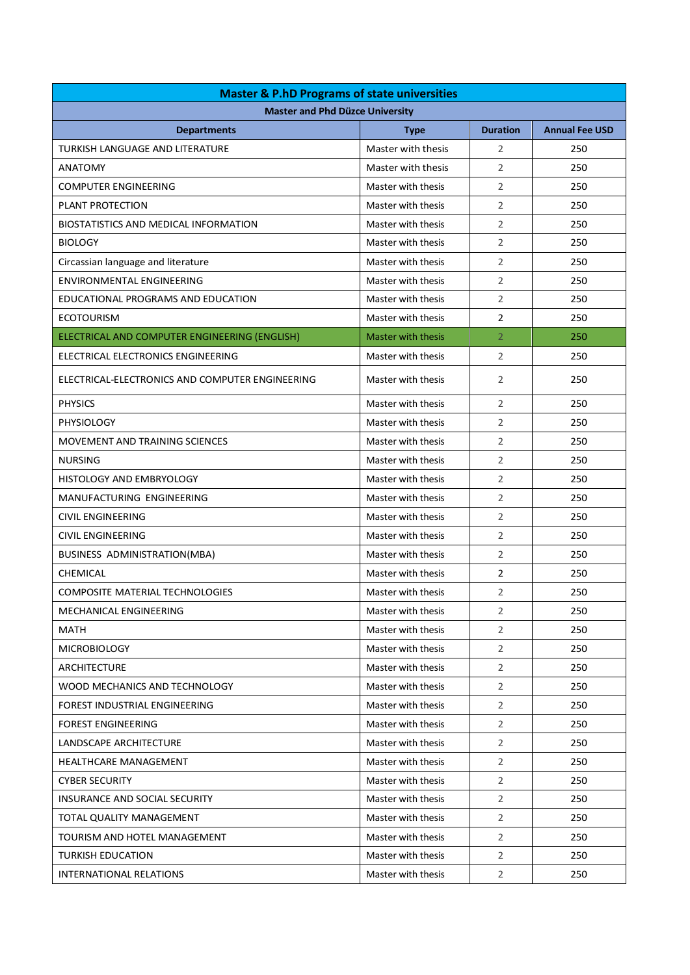| <b>Master &amp; P.hD Programs of state universities</b> |                    |                 |                       |
|---------------------------------------------------------|--------------------|-----------------|-----------------------|
| <b>Master and Phd Düzce University</b>                  |                    |                 |                       |
| <b>Departments</b>                                      | <b>Type</b>        | <b>Duration</b> | <b>Annual Fee USD</b> |
| <b>TURKISH LANGUAGE AND LITERATURE</b>                  | Master with thesis | $\overline{2}$  | 250                   |
| <b>ANATOMY</b>                                          | Master with thesis | 2               | 250                   |
| <b>COMPUTER ENGINEERING</b>                             | Master with thesis | 2               | 250                   |
| PLANT PROTECTION                                        | Master with thesis | 2               | 250                   |
| <b>BIOSTATISTICS AND MEDICAL INFORMATION</b>            | Master with thesis | $\overline{2}$  | 250                   |
| <b>BIOLOGY</b>                                          | Master with thesis | $\overline{2}$  | 250                   |
| Circassian language and literature                      | Master with thesis | 2               | 250                   |
| <b>ENVIRONMENTAL ENGINEERING</b>                        | Master with thesis | 2               | 250                   |
| EDUCATIONAL PROGRAMS AND EDUCATION                      | Master with thesis | 2               | 250                   |
| <b>ECOTOURISM</b>                                       | Master with thesis | $\overline{2}$  | 250                   |
| ELECTRICAL AND COMPUTER ENGINEERING (ENGLISH)           | Master with thesis | $\overline{2}$  | 250                   |
| ELECTRICAL ELECTRONICS ENGINEERING                      | Master with thesis | $\overline{2}$  | 250                   |
| ELECTRICAL-ELECTRONICS AND COMPUTER ENGINEERING         | Master with thesis | $\overline{2}$  | 250                   |
| <b>PHYSICS</b>                                          | Master with thesis | $\overline{2}$  | 250                   |
| <b>PHYSIOLOGY</b>                                       | Master with thesis | $\overline{2}$  | 250                   |
| MOVEMENT AND TRAINING SCIENCES                          | Master with thesis | 2               | 250                   |
| <b>NURSING</b>                                          | Master with thesis | 2               | 250                   |
| <b>HISTOLOGY AND EMBRYOLOGY</b>                         | Master with thesis | 2               | 250                   |
| MANUFACTURING ENGINEERING                               | Master with thesis | 2               | 250                   |
| <b>CIVIL ENGINEERING</b>                                | Master with thesis | 2               | 250                   |
| <b>CIVIL ENGINEERING</b>                                | Master with thesis | 2               | 250                   |
| BUSINESS ADMINISTRATION(MBA)                            | Master with thesis | 2               | 250                   |
| CHEMICAL                                                | Master with thesis | 2               | 250                   |
| <b>COMPOSITE MATERIAL TECHNOLOGIES</b>                  | Master with thesis | $\overline{2}$  | 250                   |
| MECHANICAL ENGINEERING                                  | Master with thesis | 2               | 250                   |
| <b>MATH</b>                                             | Master with thesis | $\overline{2}$  | 250                   |
| <b>MICROBIOLOGY</b>                                     | Master with thesis | 2               | 250                   |
| ARCHITECTURE                                            | Master with thesis | 2               | 250                   |
| WOOD MECHANICS AND TECHNOLOGY                           | Master with thesis | 2               | 250                   |
| FOREST INDUSTRIAL ENGINEERING                           | Master with thesis | 2               | 250                   |
| <b>FOREST ENGINEERING</b>                               | Master with thesis | 2               | 250                   |
| LANDSCAPE ARCHITECTURE                                  | Master with thesis | 2               | 250                   |
| HEALTHCARE MANAGEMENT                                   | Master with thesis | 2               | 250                   |
| <b>CYBER SECURITY</b>                                   | Master with thesis | $\overline{2}$  | 250                   |
| INSURANCE AND SOCIAL SECURITY                           | Master with thesis | 2               | 250                   |
| TOTAL QUALITY MANAGEMENT                                | Master with thesis | 2               | 250                   |
| TOURISM AND HOTEL MANAGEMENT                            | Master with thesis | 2               | 250                   |
| <b>TURKISH EDUCATION</b>                                | Master with thesis | 2               | 250                   |
| INTERNATIONAL RELATIONS                                 | Master with thesis | 2               | 250                   |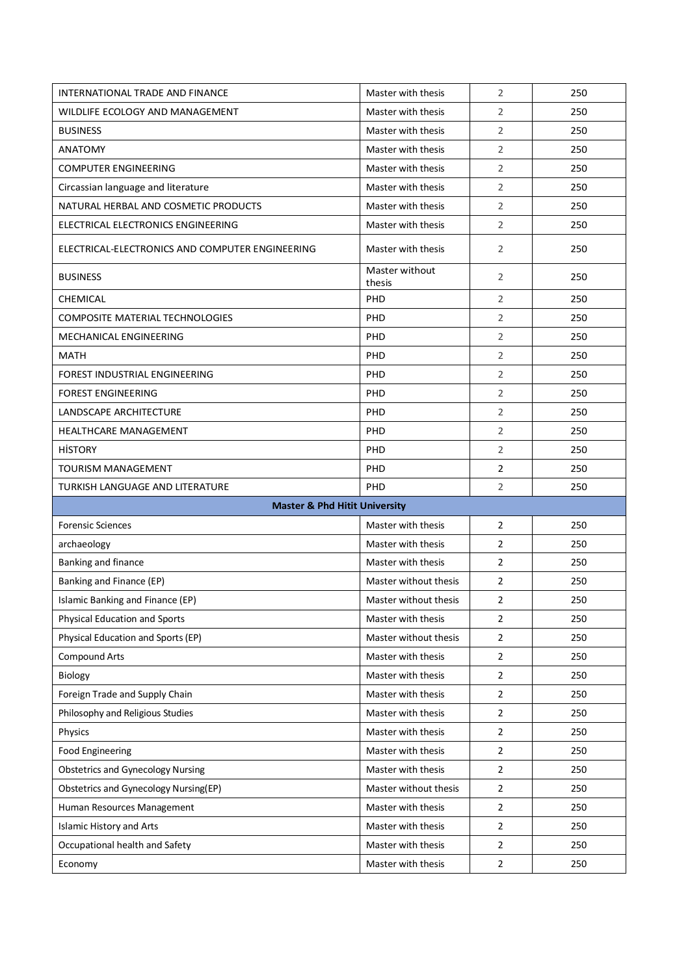| INTERNATIONAL TRADE AND FINANCE                 | Master with thesis       | 2                       | 250 |
|-------------------------------------------------|--------------------------|-------------------------|-----|
| WILDLIFE ECOLOGY AND MANAGEMENT                 | Master with thesis       | $\overline{2}$          | 250 |
| <b>BUSINESS</b>                                 | Master with thesis       | $\overline{2}$          | 250 |
| <b>ANATOMY</b>                                  | Master with thesis       | $\overline{2}$          | 250 |
| <b>COMPUTER ENGINEERING</b>                     | Master with thesis       | $\overline{2}$          | 250 |
| Circassian language and literature              | Master with thesis       | $\overline{2}$          | 250 |
| NATURAL HERBAL AND COSMETIC PRODUCTS            | Master with thesis       | $\overline{2}$          | 250 |
| ELECTRICAL ELECTRONICS ENGINEERING              | Master with thesis       | $\overline{2}$          | 250 |
| ELECTRICAL-ELECTRONICS AND COMPUTER ENGINEERING | Master with thesis       | $\overline{2}$          | 250 |
| <b>BUSINESS</b>                                 | Master without<br>thesis | $\overline{2}$          | 250 |
| CHEMICAL                                        | PHD                      | $\overline{2}$          | 250 |
| <b>COMPOSITE MATERIAL TECHNOLOGIES</b>          | PHD                      | $\overline{2}$          | 250 |
| MECHANICAL ENGINEERING                          | PHD                      | $\overline{2}$          | 250 |
| <b>MATH</b>                                     | PHD                      | $\overline{2}$          | 250 |
| FOREST INDUSTRIAL ENGINEERING                   | PHD                      | $\overline{2}$          | 250 |
| <b>FOREST ENGINEERING</b>                       | <b>PHD</b>               | $\overline{2}$          | 250 |
| LANDSCAPE ARCHITECTURE                          | PHD                      | $\overline{2}$          | 250 |
| <b>HEALTHCARE MANAGEMENT</b>                    | PHD                      | $\overline{2}$          | 250 |
| <b>HISTORY</b>                                  | PHD                      | $\overline{2}$          | 250 |
| <b>TOURISM MANAGEMENT</b>                       | <b>PHD</b>               | $\overline{2}$          | 250 |
|                                                 |                          |                         |     |
| TURKISH LANGUAGE AND LITERATURE                 | PHD                      | $\overline{2}$          | 250 |
| <b>Master &amp; Phd Hitit University</b>        |                          |                         |     |
| <b>Forensic Sciences</b>                        | Master with thesis       | $\overline{2}$          | 250 |
| archaeology                                     | Master with thesis       | $\overline{2}$          | 250 |
| Banking and finance                             | Master with thesis       | $\overline{2}$          | 250 |
| Banking and Finance (EP)                        | Master without thesis    | $\overline{2}$          | 250 |
| Islamic Banking and Finance (EP)                | Master without thesis    | $\overline{\mathbf{c}}$ | 250 |
| Physical Education and Sports                   | Master with thesis       | 2                       | 250 |
| Physical Education and Sports (EP)              | Master without thesis    | $\sqrt{2}$              | 250 |
| <b>Compound Arts</b>                            | Master with thesis       | $\overline{2}$          | 250 |
| Biology                                         | Master with thesis       | $\overline{2}$          | 250 |
| Foreign Trade and Supply Chain                  | Master with thesis       | $\sqrt{2}$              | 250 |
| Philosophy and Religious Studies                | Master with thesis       | $\overline{2}$          | 250 |
| Physics                                         | Master with thesis       | $\overline{2}$          | 250 |
| <b>Food Engineering</b>                         | Master with thesis       | $\overline{2}$          | 250 |
| <b>Obstetrics and Gynecology Nursing</b>        | Master with thesis       | $\overline{2}$          | 250 |
| <b>Obstetrics and Gynecology Nursing(EP)</b>    | Master without thesis    | $\overline{2}$          | 250 |
| Human Resources Management                      | Master with thesis       | $\overline{2}$          | 250 |
| <b>Islamic History and Arts</b>                 | Master with thesis       | $\overline{2}$          | 250 |
| Occupational health and Safety                  | Master with thesis       | $\overline{2}$          | 250 |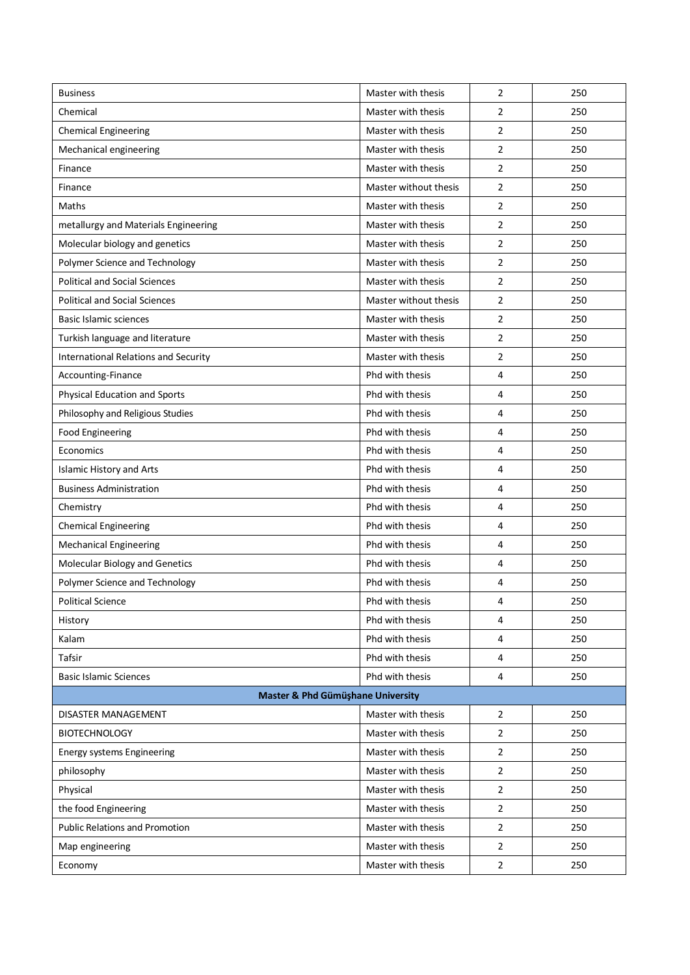| <b>Business</b>                             | Master with thesis    | 2              | 250 |
|---------------------------------------------|-----------------------|----------------|-----|
| Chemical                                    | Master with thesis    | 2              | 250 |
| <b>Chemical Engineering</b>                 | Master with thesis    | 2              | 250 |
| Mechanical engineering                      | Master with thesis    | 2              | 250 |
| Finance                                     | Master with thesis    | 2              | 250 |
| Finance                                     | Master without thesis | $\overline{2}$ | 250 |
| Maths                                       | Master with thesis    | 2              | 250 |
| metallurgy and Materials Engineering        | Master with thesis    | 2              | 250 |
| Molecular biology and genetics              | Master with thesis    | 2              | 250 |
| Polymer Science and Technology              | Master with thesis    | 2              | 250 |
| <b>Political and Social Sciences</b>        | Master with thesis    | 2              | 250 |
| <b>Political and Social Sciences</b>        | Master without thesis | 2              | 250 |
| <b>Basic Islamic sciences</b>               | Master with thesis    | 2              | 250 |
| Turkish language and literature             | Master with thesis    | 2              | 250 |
| <b>International Relations and Security</b> | Master with thesis    | 2              | 250 |
| Accounting-Finance                          | Phd with thesis       | 4              | 250 |
| <b>Physical Education and Sports</b>        | Phd with thesis       | 4              | 250 |
| Philosophy and Religious Studies            | Phd with thesis       | 4              | 250 |
| <b>Food Engineering</b>                     | Phd with thesis       | 4              | 250 |
| Economics                                   | Phd with thesis       | 4              | 250 |
| <b>Islamic History and Arts</b>             | Phd with thesis       | 4              | 250 |
| <b>Business Administration</b>              | Phd with thesis       | 4              | 250 |
| Chemistry                                   | Phd with thesis       | 4              | 250 |
| <b>Chemical Engineering</b>                 | Phd with thesis       | 4              | 250 |
| <b>Mechanical Engineering</b>               | Phd with thesis       | 4              | 250 |
| Molecular Biology and Genetics              | Phd with thesis       | 4              | 250 |
| Polymer Science and Technology              | Phd with thesis       | 4              | 250 |
| <b>Political Science</b>                    | Phd with thesis       | 4              | 250 |
| History                                     | Phd with thesis       | 4              | 250 |
| Kalam                                       | Phd with thesis       | 4              | 250 |
| Tafsir                                      | Phd with thesis       | 4              | 250 |
| <b>Basic Islamic Sciences</b>               | Phd with thesis       | 4              | 250 |
| Master & Phd Gümüşhane University           |                       |                |     |
| DISASTER MANAGEMENT                         | Master with thesis    | 2              | 250 |
| <b>BIOTECHNOLOGY</b>                        | Master with thesis    | 2              | 250 |
| <b>Energy systems Engineering</b>           | Master with thesis    | 2              | 250 |
| philosophy                                  | Master with thesis    | $\overline{2}$ | 250 |
| Physical                                    | Master with thesis    | 2              | 250 |
| the food Engineering                        | Master with thesis    | 2              | 250 |
| <b>Public Relations and Promotion</b>       | Master with thesis    | 2              | 250 |
| Map engineering                             | Master with thesis    | 2              | 250 |
| Economy                                     | Master with thesis    | $\overline{2}$ | 250 |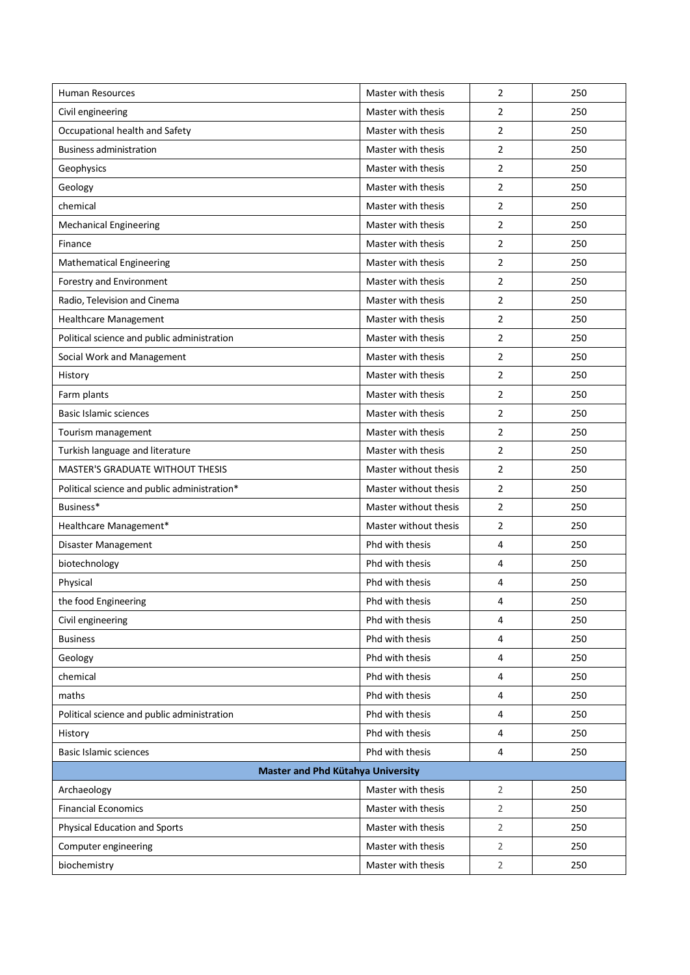| <b>Human Resources</b>                       | Master with thesis    | 2              | 250 |
|----------------------------------------------|-----------------------|----------------|-----|
| Civil engineering                            | Master with thesis    | 2              | 250 |
| Occupational health and Safety               | Master with thesis    | 2              | 250 |
| <b>Business administration</b>               | Master with thesis    | $\overline{2}$ | 250 |
| Geophysics                                   | Master with thesis    | 2              | 250 |
| Geology                                      | Master with thesis    | 2              | 250 |
| chemical                                     | Master with thesis    | 2              | 250 |
| <b>Mechanical Engineering</b>                | Master with thesis    | $\overline{2}$ | 250 |
| Finance                                      | Master with thesis    | $\overline{2}$ | 250 |
| <b>Mathematical Engineering</b>              | Master with thesis    | 2              | 250 |
| Forestry and Environment                     | Master with thesis    | 2              | 250 |
| Radio, Television and Cinema                 | Master with thesis    | 2              | 250 |
| <b>Healthcare Management</b>                 | Master with thesis    | 2              | 250 |
| Political science and public administration  | Master with thesis    | 2              | 250 |
| Social Work and Management                   | Master with thesis    | 2              | 250 |
| History                                      | Master with thesis    | $\overline{2}$ | 250 |
| Farm plants                                  | Master with thesis    | 2              | 250 |
| <b>Basic Islamic sciences</b>                | Master with thesis    | 2              | 250 |
| Tourism management                           | Master with thesis    | $\overline{2}$ | 250 |
| Turkish language and literature              | Master with thesis    | 2              | 250 |
| <b>MASTER'S GRADUATE WITHOUT THESIS</b>      | Master without thesis | 2              | 250 |
| Political science and public administration* | Master without thesis | $\overline{2}$ | 250 |
| Business*                                    | Master without thesis | 2              | 250 |
| Healthcare Management*                       | Master without thesis | 2              | 250 |
| Disaster Management                          | Phd with thesis       | 4              | 250 |
| biotechnology                                | Phd with thesis       | 4              | 250 |
| Physical                                     | Phd with thesis       | 4              | 250 |
| the food Engineering                         | Phd with thesis       | 4              | 250 |
| Civil engineering                            | Phd with thesis       | 4              | 250 |
| <b>Business</b>                              | Phd with thesis       | 4              | 250 |
| Geology                                      | Phd with thesis       | 4              | 250 |
| chemical                                     | Phd with thesis       | $\overline{4}$ | 250 |
| maths                                        | Phd with thesis       | 4              | 250 |
| Political science and public administration  | Phd with thesis       | 4              | 250 |
| History                                      | Phd with thesis       | 4              | 250 |
| Basic Islamic sciences                       | Phd with thesis       | 4              | 250 |
| Master and Phd Kütahya University            |                       |                |     |
| Archaeology                                  | Master with thesis    | $\overline{2}$ | 250 |
| <b>Financial Economics</b>                   | Master with thesis    | $\overline{2}$ | 250 |
| <b>Physical Education and Sports</b>         | Master with thesis    | 2              | 250 |
| Computer engineering                         | Master with thesis    | 2              | 250 |
| biochemistry                                 | Master with thesis    | $\overline{2}$ | 250 |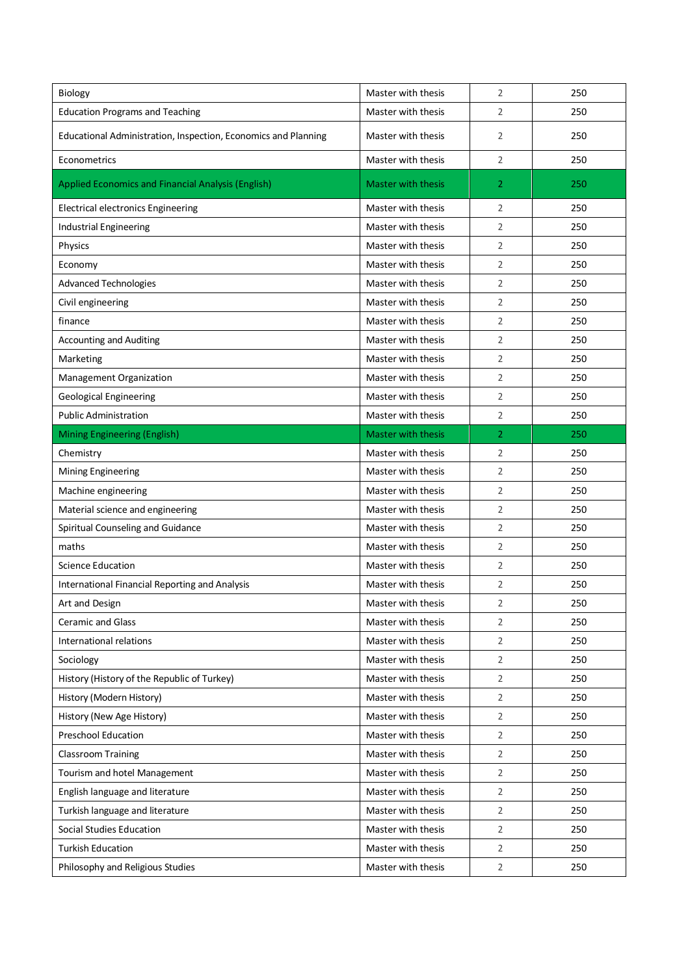| Biology                                                        | Master with thesis        | 2              | 250 |
|----------------------------------------------------------------|---------------------------|----------------|-----|
| <b>Education Programs and Teaching</b>                         | Master with thesis        | 2              | 250 |
| Educational Administration, Inspection, Economics and Planning | Master with thesis        | 2              | 250 |
| Econometrics                                                   | Master with thesis        | $\overline{2}$ | 250 |
| Applied Economics and Financial Analysis (English)             | <b>Master with thesis</b> | $\overline{2}$ | 250 |
| <b>Electrical electronics Engineering</b>                      | Master with thesis        | 2              | 250 |
| <b>Industrial Engineering</b>                                  | Master with thesis        | 2              | 250 |
| Physics                                                        | Master with thesis        | 2              | 250 |
| Economy                                                        | Master with thesis        | 2              | 250 |
| <b>Advanced Technologies</b>                                   | Master with thesis        | 2              | 250 |
| Civil engineering                                              | Master with thesis        | 2              | 250 |
| finance                                                        | Master with thesis        | 2              | 250 |
| <b>Accounting and Auditing</b>                                 | Master with thesis        | 2              | 250 |
| Marketing                                                      | Master with thesis        | 2              | 250 |
| Management Organization                                        | Master with thesis        | 2              | 250 |
| <b>Geological Engineering</b>                                  | Master with thesis        | 2              | 250 |
| <b>Public Administration</b>                                   | Master with thesis        | 2              | 250 |
| <b>Mining Engineering (English)</b>                            | <b>Master with thesis</b> | $\overline{2}$ | 250 |
| Chemistry                                                      | Master with thesis        | 2              | 250 |
| Mining Engineering                                             | Master with thesis        | 2              | 250 |
| Machine engineering                                            | Master with thesis        | 2              | 250 |
| Material science and engineering                               | Master with thesis        | 2              | 250 |
| Spiritual Counseling and Guidance                              | Master with thesis        | $\overline{2}$ | 250 |
| maths                                                          | Master with thesis        | 2              | 250 |
| <b>Science Education</b>                                       | Master with thesis        | 2              | 250 |
| International Financial Reporting and Analysis                 | Master with thesis        | 2              | 250 |
| Art and Design                                                 | Master with thesis        | 2              | 250 |
| Ceramic and Glass                                              | Master with thesis        | $\overline{2}$ | 250 |
| International relations                                        | Master with thesis        | $\overline{2}$ | 250 |
| Sociology                                                      | Master with thesis        | $\overline{2}$ | 250 |
| History (History of the Republic of Turkey)                    | Master with thesis        | $\overline{2}$ | 250 |
| History (Modern History)                                       | Master with thesis        | $\overline{2}$ | 250 |
| History (New Age History)                                      | Master with thesis        | $\overline{2}$ | 250 |
| Preschool Education                                            | Master with thesis        | $\overline{2}$ | 250 |
| <b>Classroom Training</b>                                      | Master with thesis        | $\overline{2}$ | 250 |
| Tourism and hotel Management                                   | Master with thesis        | $\overline{2}$ | 250 |
| English language and literature                                | Master with thesis        | $\overline{2}$ | 250 |
| Turkish language and literature                                | Master with thesis        | $\overline{2}$ | 250 |
| <b>Social Studies Education</b>                                | Master with thesis        | $\overline{2}$ | 250 |
| <b>Turkish Education</b>                                       | Master with thesis        | $\overline{2}$ | 250 |
| Philosophy and Religious Studies                               | Master with thesis        | $\overline{2}$ | 250 |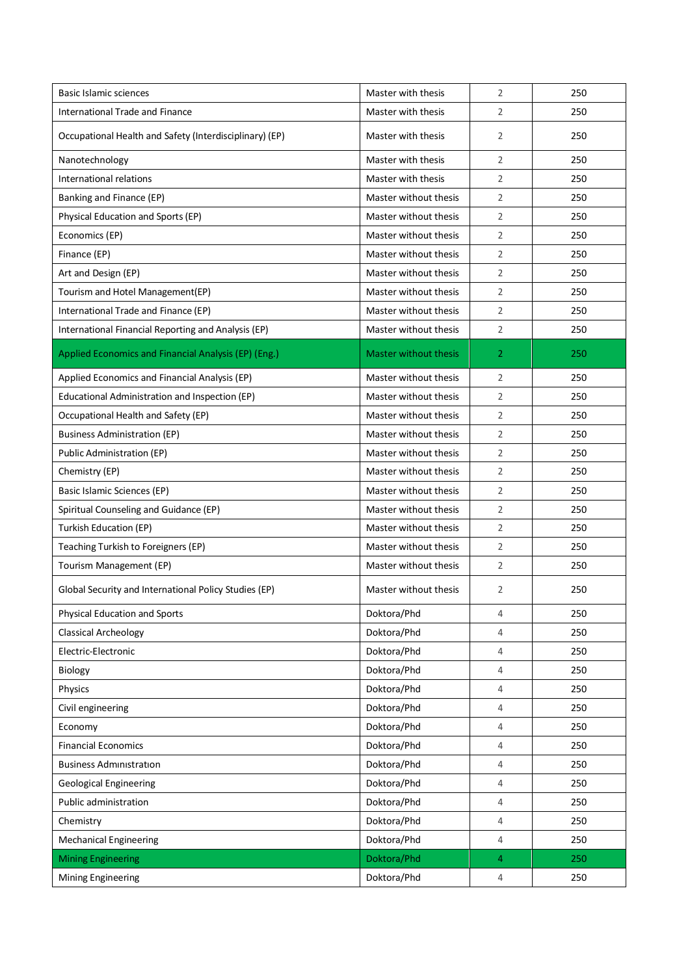| Basic Islamic sciences                                  | Master with thesis           | $\overline{2}$ | 250 |
|---------------------------------------------------------|------------------------------|----------------|-----|
| <b>International Trade and Finance</b>                  | Master with thesis           | 2              | 250 |
| Occupational Health and Safety (Interdisciplinary) (EP) | Master with thesis           | 2              | 250 |
| Nanotechnology                                          | Master with thesis           | 2              | 250 |
| International relations                                 | Master with thesis           | 2              | 250 |
| Banking and Finance (EP)                                | Master without thesis        | 2              | 250 |
| Physical Education and Sports (EP)                      | Master without thesis        | 2              | 250 |
| Economics (EP)                                          | Master without thesis        | 2              | 250 |
| Finance (EP)                                            | Master without thesis        | $\overline{2}$ | 250 |
| Art and Design (EP)                                     | Master without thesis        | 2              | 250 |
| Tourism and Hotel Management(EP)                        | Master without thesis        | 2              | 250 |
| International Trade and Finance (EP)                    | Master without thesis        | 2              | 250 |
| International Financial Reporting and Analysis (EP)     | Master without thesis        | 2              | 250 |
| Applied Economics and Financial Analysis (EP) (Eng.)    | <b>Master without thesis</b> | 2              | 250 |
| Applied Economics and Financial Analysis (EP)           | Master without thesis        | 2              | 250 |
| Educational Administration and Inspection (EP)          | Master without thesis        | 2              | 250 |
| Occupational Health and Safety (EP)                     | Master without thesis        | 2              | 250 |
| <b>Business Administration (EP)</b>                     | Master without thesis        | 2              | 250 |
| Public Administration (EP)                              | Master without thesis        | $\overline{2}$ | 250 |
| Chemistry (EP)                                          | Master without thesis        | 2              | 250 |
| Basic Islamic Sciences (EP)                             | Master without thesis        | $\overline{2}$ | 250 |
| Spiritual Counseling and Guidance (EP)                  | Master without thesis        | 2              | 250 |
| Turkish Education (EP)                                  | Master without thesis        | 2              | 250 |
| Teaching Turkish to Foreigners (EP)                     | Master without thesis        | 2              | 250 |
| Tourism Management (EP)                                 | Master without thesis        | 2              | 250 |
| Global Security and International Policy Studies (EP)   | Master without thesis        | 2              | 250 |
| <b>Physical Education and Sports</b>                    | Doktora/Phd                  | 4              | 250 |
| Classical Archeology                                    | Doktora/Phd                  | $\overline{4}$ | 250 |
| Electric-Electronic                                     | Doktora/Phd                  | 4              | 250 |
| Biology                                                 | Doktora/Phd                  | 4              | 250 |
| Physics                                                 | Doktora/Phd                  | 4              | 250 |
| Civil engineering                                       | Doktora/Phd                  | 4              | 250 |
| Economy                                                 | Doktora/Phd                  | 4              | 250 |
| <b>Financial Economics</b>                              | Doktora/Phd                  | 4              | 250 |
| <b>Business Administration</b>                          | Doktora/Phd                  | 4              | 250 |
| <b>Geological Engineering</b>                           | Doktora/Phd                  | 4              | 250 |
| Public administration                                   | Doktora/Phd                  | 4              | 250 |
| Chemistry                                               | Doktora/Phd                  | 4              | 250 |
| <b>Mechanical Engineering</b>                           | Doktora/Phd                  | 4              | 250 |
| <b>Mining Engineering</b>                               | Doktora/Phd                  | 4              | 250 |
| Mining Engineering                                      | Doktora/Phd                  | 4              | 250 |